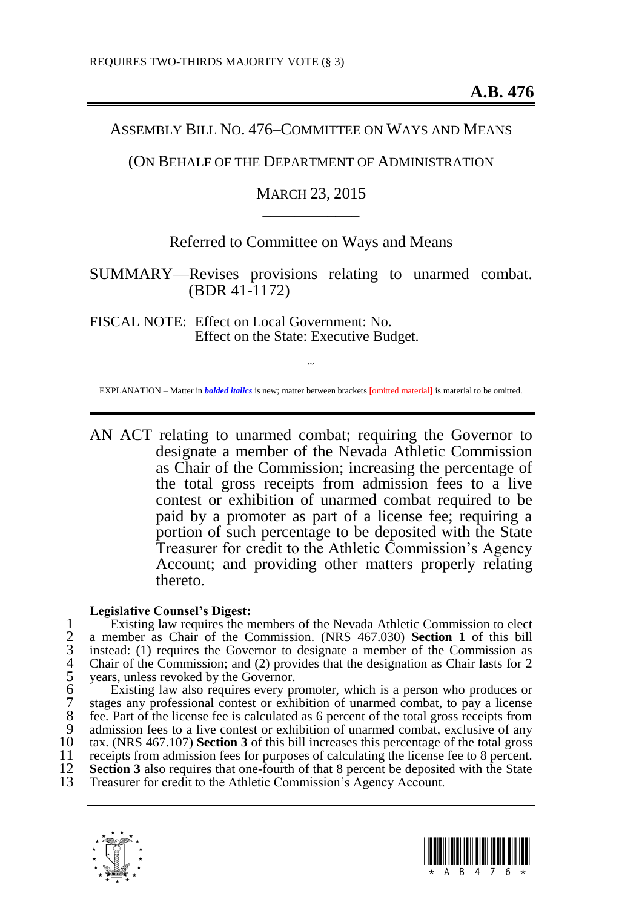## ASSEMBLY BILL NO. 476–COMMITTEE ON WAYS AND MEANS

## (ON BEHALF OF THE DEPARTMENT OF ADMINISTRATION

# MARCH 23, 2015 \_\_\_\_\_\_\_\_\_\_\_\_

# Referred to Committee on Ways and Means

# SUMMARY—Revises provisions relating to unarmed combat. (BDR 41-1172)

FISCAL NOTE: Effect on Local Government: No. Effect on the State: Executive Budget.

~ EXPLANATION – Matter in *bolded italics* is new; matter between brackets **[omitted material]** is material to be omitted.

AN ACT relating to unarmed combat; requiring the Governor to designate a member of the Nevada Athletic Commission as Chair of the Commission; increasing the percentage of the total gross receipts from admission fees to a live contest or exhibition of unarmed combat required to be paid by a promoter as part of a license fee; requiring a portion of such percentage to be deposited with the State Treasurer for credit to the Athletic Commission's Agency Account; and providing other matters properly relating thereto.

#### **Legislative Counsel's Digest:**

Existing law requires the members of the Nevada Athletic Commission to elect<br>
2 a member as Chair of the Commission. (NRS 467.030) **Section 1** of this bill<br>
3 instead: (1) requires the Governor to designate a member of the 2 a member as Chair of the Commission. (NRS 467.030) **Section [1](#page-1-0)** of this bill instead: (1) requires the Governor to designate a member of the Commission as 4 Chair of the Commission; and (2) provides that the designation as Chair lasts for 2 years, unless revoked by the Governor.

Existing law also requires every promoter, which is a person who produces or stages any professional contest or exhibition of unarmed combat, to pay a license 8 fee. Part of the license fee is calculated as 6 percent of the total gross receipts from<br>9 admission fees to a live contest or exhibition of unarmed combat, exclusive of any 9 admission fees to a live contest or exhibition of unarmed combat, exclusive of any  $10$  tax. (NRS 467.107) **Section 3** of this bill increases this percentage of the total gross 10 tax. (NRS 467.107) **Sectio[n 3](#page-1-1)** of this bill increases this percentage of the total gross 11 receipts from admission fees for purposes of calculating the license fee to 8 percent.<br>12 **Section 3** also requires that one-fourth of that 8 percent be deposited with the State 12 **Sectio[n 3](#page-1-1)** also requires that one-fourth of that 8 percent be deposited with the State 13 Treasurer for credit to the Athletic Commission's Agency Account. Treasurer for credit to the Athletic Commission's Agency Account.

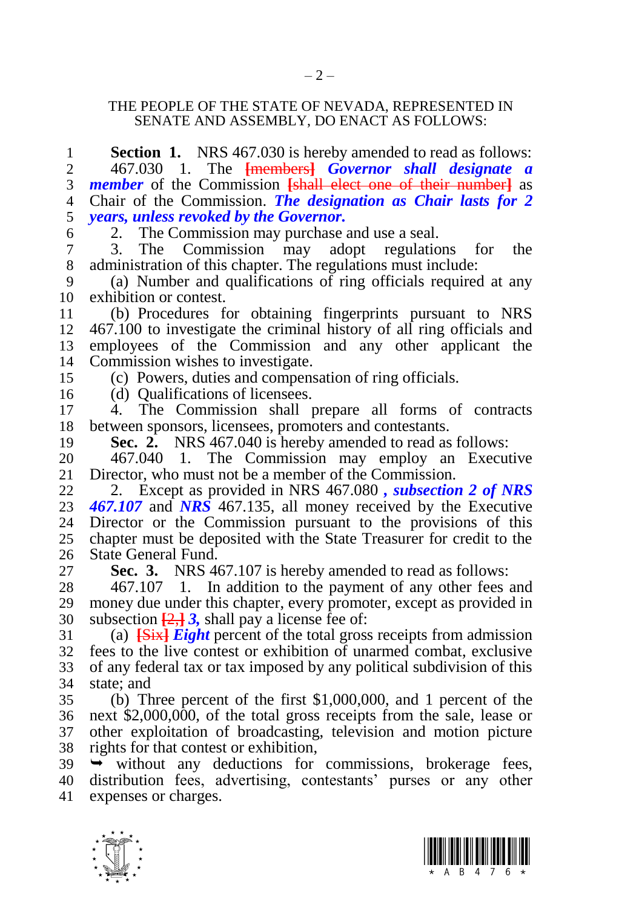### <span id="page-1-0"></span>THE PEOPLE OF THE STATE OF NEVADA, REPRESENTED IN SENATE AND ASSEMBLY, DO ENACT AS FOLLOWS:

| 1              | <b>Section 1.</b> NRS 467.030 is hereby amended to read as follows:         |
|----------------|-----------------------------------------------------------------------------|
| $\overline{c}$ | 467.030 1. The <b>[members] Governor shall designate a</b>                  |
| 3              | <i>member</i> of the Commission <i>[shall elect one of their number]</i> as |
| $\overline{4}$ | Chair of the Commission. The designation as Chair lasts for 2               |
| 5              | years, unless revoked by the Governor.                                      |
| 6              | The Commission may purchase and use a seal.<br>2.                           |
| $\overline{7}$ | The Commission may adopt regulations for<br>3.<br>the                       |
| $\,8\,$        | administration of this chapter. The regulations must include:               |
| 9              | (a) Number and qualifications of ring officials required at any             |
| 10             | exhibition or contest.                                                      |
| 11             | (b) Procedures for obtaining fingerprints pursuant to NRS                   |
| 12             | 467.100 to investigate the criminal history of all ring officials and       |
| 13             | employees of the Commission and any other applicant the                     |
| 14             | Commission wishes to investigate.                                           |
| 15             | (c) Powers, duties and compensation of ring officials.                      |
| 16             | (d) Qualifications of licensees.                                            |
| 17             | 4. The Commission shall prepare all forms of contracts                      |
| 18             | between sponsors, licensees, promoters and contestants.                     |
| 19             | Sec. 2. NRS 467.040 is hereby amended to read as follows:                   |
| 20             | 467.040 1. The Commission may employ an Executive                           |
| 21             | Director, who must not be a member of the Commission.                       |
| 22             | 2. Except as provided in NRS 467.080, <i>subsection 2 of NRS</i>            |
| 23             | 467.107 and $NRS$ 467.135, all money received by the Executive              |
| 24             | Director or the Commission pursuant to the provisions of this               |
| 25             | chapter must be deposited with the State Treasurer for credit to the        |
| 26             | State General Fund.                                                         |
| 27             | Sec. 3. NRS 467.107 is hereby amended to read as follows:                   |
| 28             | 467.107 1. In addition to the payment of any other fees and                 |
| 29             | money due under this chapter, every promoter, except as provided in         |
| 30             | subsection $\frac{2}{3}$ , shall pay a license fee of:                      |
| 31             | (a) $\frac{1}{1}$ Eight percent of the total gross receipts from admission  |
| 32             | fees to the live contest or exhibition of unarmed combat, exclusive         |
| 33             | of any federal tax or tax imposed by any political subdivision of this      |
| 34             | state; and                                                                  |
| 35             | (b) Three percent of the first \$1,000,000, and 1 percent of the            |
| 36             | next \$2,000,000, of the total gross receipts from the sale, lease or       |
| 37             | other exploitation of broadcasting, television and motion picture           |
| 38             | rights for that contest or exhibition,                                      |
| 39             | without any deductions for commissions, brokerage fees,<br>$\rightarrow$    |
| 40             | distribution fees, advertising, contestants' purses or any other            |
| 41             | expenses or charges.                                                        |
|                |                                                                             |

<span id="page-1-1"></span>